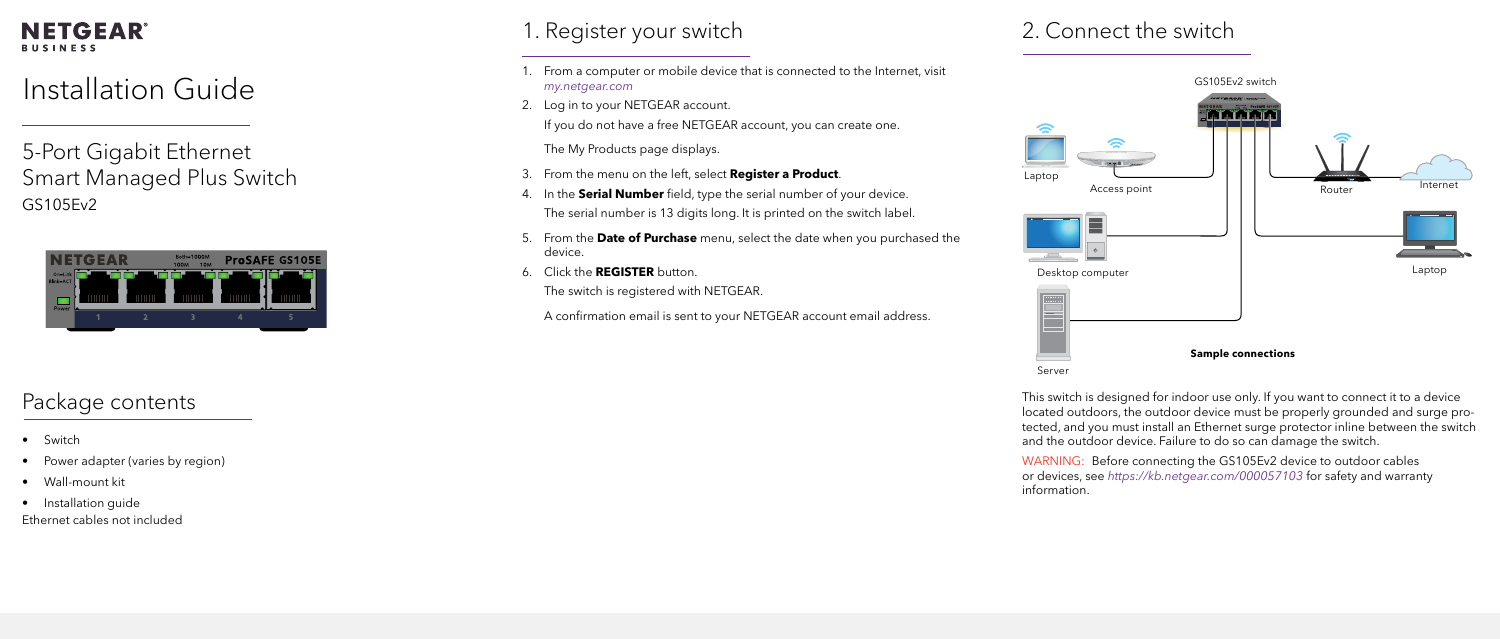#### **NETGEAR BUSINESS**

# Installation Guide

## 1. Register your switch

- 1. From a computer or mobile device that is connected to the Internet, visit *[my.netgear.com](https://my.netgear.com)*
- 2. Log in to your NETGEAR account. If you do not have a free NETGEAR account, you can create one.

The My Products page displays.

- 3. From the menu on the left, select **Register a Product**.
- 4. In the **Serial Number** field, type the serial number of your device. The serial number is 13 digits long. It is printed on the switch label.
- 5. From the **Date of Purchase** menu, select the date when you purchased the device.
- 6. Click the **REGISTER** button.

The switch is registered with NETGEAR.

A confirmation email is sent to your NETGEAR account email address.

5-Port Gigabit Ethernet Smart Managed Plus Switch GS105Ev2



## Package contents

- Switch
- Power adapter (varies by region)
- Wall-mount kit
- Installation guide

Ethernet cables not included

#### 2. Connect the switch

This switch is designed for indoor use only. If you want to connect it to a device located outdoors, the outdoor device must be properly grounded and surge protected, and you must install an Ethernet surge protector inline between the switch and the outdoor device. Failure to do so can damage the switch.

WARNING: Before connecting the GS105Ev2 device to outdoor cables or devices, see *<https://kb.netgear.com/000057103>*for safety and warranty information.







Server

**Sample connections**